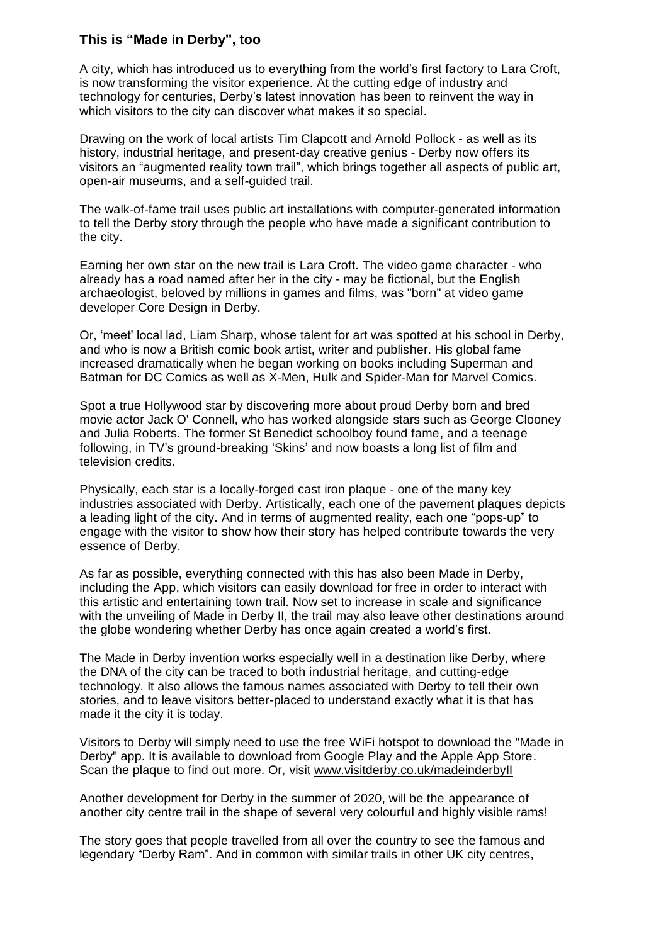## **This is "Made in Derby", too**

A city, which has introduced us to everything from the world's first factory to Lara Croft, is now transforming the visitor experience. At the cutting edge of industry and technology for centuries, Derby's latest innovation has been to reinvent the way in which visitors to the city can discover what makes it so special.

Drawing on the work of local artists Tim Clapcott and Arnold Pollock - as well as its history, industrial heritage, and present-day creative genius - Derby now offers its visitors an "augmented reality town trail", which brings together all aspects of public art, open-air museums, and a self-guided trail.

The walk-of-fame trail uses public art installations with computer-generated information to tell the Derby story through the people who have made a significant contribution to the city.

Earning her own star on the new trail is Lara Croft. The video game character - who already has a road named after her in the city - may be fictional, but the English archaeologist, beloved by millions in games and films, was "born" at video game developer Core Design in Derby.

Or, 'meet' local lad, Liam Sharp, whose talent for art was spotted at his school in Derby, and who is now a British comic book artist, writer and publisher. His global fame increased dramatically when he began working on books including Superman and Batman for DC Comics as well as X-Men, Hulk and Spider-Man for Marvel Comics.

Spot a true Hollywood star by discovering more about proud Derby born and bred movie actor Jack O' Connell, who has worked alongside stars such as George Clooney and Julia Roberts. The former St Benedict schoolboy found fame, and a teenage following, in TV's ground-breaking 'Skins' and now boasts a long list of film and television credits.

Physically, each star is a locally-forged cast iron plaque - one of the many key industries associated with Derby. Artistically, each one of the pavement plaques depicts a leading light of the city. And in terms of augmented reality, each one "pops-up" to engage with the visitor to show how their story has helped contribute towards the very essence of Derby.

As far as possible, everything connected with this has also been Made in Derby, including the App, which visitors can easily download for free in order to interact with this artistic and entertaining town trail. Now set to increase in scale and significance with the unveiling of Made in Derby II, the trail may also leave other destinations around the globe wondering whether Derby has once again created a world's first.

The Made in Derby invention works especially well in a destination like Derby, where the DNA of the city can be traced to both industrial heritage, and cutting-edge technology. It also allows the famous names associated with Derby to tell their own stories, and to leave visitors better-placed to understand exactly what it is that has made it the city it is today.

Visitors to Derby will simply need to use the free WiFi hotspot to download the "Made in Derby" app. It is available to download from Google Play and the Apple App Store. Scan the plaque to find out more. Or, visit [www.visitderby.co.uk/madeinderbyII](http://www.visitderby.co.uk/madeinderbyII)

Another development for Derby in the summer of 2020, will be the appearance of another city centre trail in the shape of several very colourful and highly visible rams!

The story goes that people travelled from all over the country to see the famous and legendary "Derby Ram". And in common with similar trails in other UK city centres,